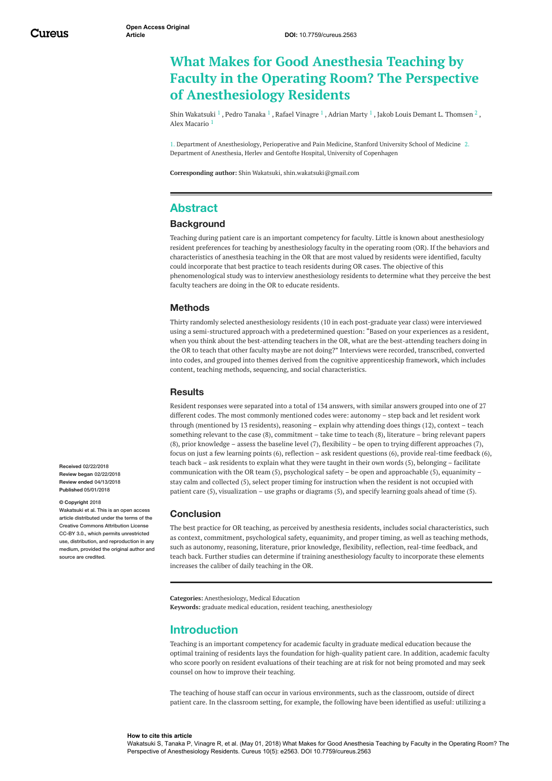# **What Makes for Good Anesthesia Teaching by Faculty in the Operating Room? The Perspective of Anesthesiology Residents**

Shin [Wakatsuki](https://www.cureus.com/users/30838-shin-wakatsuki)  $^1$  , Pedro [Tanaka](https://www.cureus.com/users/28161-pedro-tanaka)  $^1$  , Rafael [Vinagre](https://www.cureus.com/users/58860-rafael-vinagre)  $^1$  , [Adrian](https://www.cureus.com/users/28170-adrian-marty) Marty  $^1$  , Jakob Louis Demant L. [Thomsen](https://www.cureus.com/users/30835-jakob-louis-demant-l-thomsen)  $^2$  , Alex [Macario](https://www.cureus.com/users/5297-alex-macario) 1

1. Department of Anesthesiology, Perioperative and Pain Medicine, Stanford University School of Medicine 2. Department of Anesthesia, Herlev and Gentofte Hospital, University of Copenhagen

**Corresponding author:** Shin Wakatsuki, shin.wakatsuki@gmail.com

# **Abstract**

### **Background**

Teaching during patient care is an important competency for faculty. Little is known about anesthesiology resident preferences for teaching by anesthesiology faculty in the operating room (OR). If the behaviors and characteristics of anesthesia teaching in the OR that are most valued by residents were identified, faculty could incorporate that best practice to teach residents during OR cases. The objective of this phenomenological study was to interview anesthesiology residents to determine what they perceive the best faculty teachers are doing in the OR to educate residents.

### **Methods**

Thirty randomly selected anesthesiology residents (10 in each post-graduate year class) were interviewed using a semi-structured approach with a predetermined question: "Based on your experiences as a resident, when you think about the best-attending teachers in the OR, what are the best-attending teachers doing in the OR to teach that other faculty maybe are not doing?" Interviews were recorded, transcribed, converted into codes, and grouped into themes derived from the cognitive apprenticeship framework, which includes content, teaching methods, sequencing, and social characteristics.

#### **Results**

Resident responses were separated into a total of 134 answers, with similar answers grouped into one of 27 different codes. The most commonly mentioned codes were: autonomy – step back and let resident work through (mentioned by 13 residents), reasoning – explain why attending does things (12), context – teach something relevant to the case (8), commitment – take time to teach (8), literature – bring relevant papers (8), prior knowledge – assess the baseline level (7), flexibility – be open to trying different approaches (7), focus on just a few learning points (6), reflection – ask resident questions (6), provide real-time feedback (6), teach back – ask residents to explain what they were taught in their own words (5), belonging – facilitate communication with the OR team (5), psychological safety – be open and approachable (5), equanimity – stay calm and collected (5), select proper timing for instruction when the resident is not occupied with patient care (5), visualization – use graphs or diagrams (5), and specify learning goals ahead of time (5).

#### **Conclusion**

The best practice for OR teaching, as perceived by anesthesia residents, includes social characteristics, such as context, commitment, psychological safety, equanimity, and proper timing, as well as teaching methods, such as autonomy, reasoning, literature, prior knowledge, flexibility, reflection, real-time feedback, and teach back. Further studies can determine if training anesthesiology faculty to incorporate these elements increases the caliber of daily teaching in the OR.

**Categories:** Anesthesiology, Medical Education **Keywords:** graduate medical education, resident teaching, anesthesiology

## **Introduction**

Teaching is an important competency for academic faculty in graduate medical education because the optimal training of residents lays the foundation for high-quality patient care. In addition, academic faculty who score poorly on resident evaluations of their teaching are at risk for not being promoted and may seek counsel on how to improve their teaching.

The teaching of house staff can occur in various environments, such as the classroom, outside of direct patient care. In the classroom setting, for example, the following have been identified as useful: utilizing a

**Received** 02/22/2018 **Review began** 02/22/2018 **Review ended** 04/13/2018 **Published** 05/01/2018

#### **© Copyright** 2018

Wakatsuki et al. This is an open ace article distributed under the terms of the Creative Commons Attribution License CC-BY 3.0., which permits unrestricted use, distribution, and reproduction in any medium, provided the original author and source are credited.

#### **How to cite this article**

Wakatsuki S, Tanaka P, Vinagre R, et al. (May 01, 2018) What Makes for Good Anesthesia Teaching by Faculty in the Operating Room? The Perspective of Anesthesiology Residents. Cureus 10(5): e2563. DOI 10.7759/cureus.2563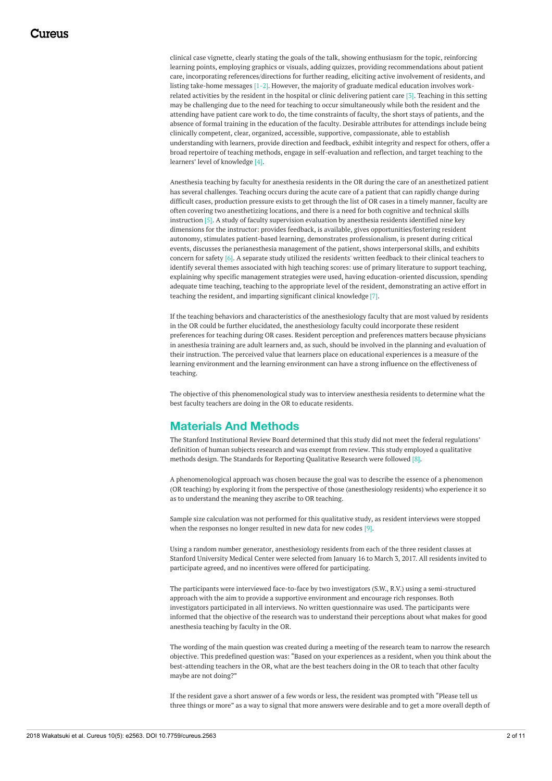clinical case vignette, clearly stating the goals of the talk, showing enthusiasm for the topic, reinforcing learning points, employing graphics or visuals, adding quizzes, providing recommendations about patient care, incorporating references/directions for further reading, eliciting active involvement of residents, and listing take-home messages [1-2]. However, the majority of graduate medical education involves workrelated activities by the resident in the hospital or clinic delivering patient care [3]. Teaching in this setting may be challenging due to the need for teaching to occur simultaneously while both the resident and the attending have patient care work to do, the time constraints of faculty, the short stays of patients, and the absence of formal training in the education of the faculty. Desirable attributes for attendings include being clinically competent, clear, organized, accessible, supportive, compassionate, able to establish understanding with learners, provide direction and feedback, exhibit integrity and respect for others, offer a broad repertoire of teaching methods, engage in self-evaluation and reflection, and target teaching to the learners' level of knowledge [4].

Anesthesia teaching by faculty for anesthesia residents in the OR during the care of an anesthetized patient has several challenges. Teaching occurs during the acute care of a patient that can rapidly change during difficult cases, production pressure exists to get through the list of OR cases in a timely manner, faculty are often covering two anesthetizing locations, and there is a need for both cognitive and technical skills instruction [5]. A study of faculty supervision evaluation by anesthesia residents identified nine key dimensions for the instructor: provides feedback, is available, gives opportunities/fostering resident autonomy, stimulates patient-based learning, demonstrates professionalism, is present during critical events, discusses the perianesthesia management of the patient, shows interpersonal skills, and exhibits concern for safety [6]. A separate study utilized the residents' written feedback to their clinical teachers to identify several themes associated with high teaching scores: use of primary literature to support teaching, explaining why specific management strategies were used, having education-oriented discussion, spending adequate time teaching, teaching to the appropriate level of the resident, demonstrating an active effort in teaching the resident, and imparting significant clinical knowledge [7].

If the teaching behaviors and characteristics of the anesthesiology faculty that are most valued by residents in the OR could be further elucidated, the anesthesiology faculty could incorporate these resident preferences for teaching during OR cases. Resident perception and preferences matters because physicians in anesthesia training are adult learners and, as such, should be involved in the planning and evaluation of their instruction. The perceived value that learners place on educational experiences is a measure of the learning environment and the learning environment can have a strong influence on the effectiveness of teaching.

The objective of this phenomenological study was to interview anesthesia residents to determine what the best faculty teachers are doing in the OR to educate residents.

# **Materials And Methods**

The Stanford Institutional Review Board determined that this study did not meet the federal regulations' definition of human subjects research and was exempt from review. This study employed a qualitative methods design. The Standards for Reporting Qualitative Research were followed [8].

A phenomenological approach was chosen because the goal was to describe the essence of a phenomenon (OR teaching) by exploring it from the perspective of those (anesthesiology residents) who experience it so as to understand the meaning they ascribe to OR teaching.

Sample size calculation was not performed for this qualitative study, as resident interviews were stopped when the responses no longer resulted in new data for new codes [9].

Using a random number generator, anesthesiology residents from each of the three resident classes at Stanford University Medical Center were selected from January 16 to March 3, 2017. All residents invited to participate agreed, and no incentives were offered for participating.

The participants were interviewed face-to-face by two investigators (S.W., R.V.) using a semi-structured approach with the aim to provide a supportive environment and encourage rich responses. Both investigators participated in all interviews. No written questionnaire was used. The participants were informed that the objective of the research was to understand their perceptions about what makes for good anesthesia teaching by faculty in the OR.

The wording of the main question was created during a meeting of the research team to narrow the research objective. This predefined question was: "Based on your experiences as a resident, when you think about the best-attending teachers in the OR, what are the best teachers doing in the OR to teach that other faculty maybe are not doing?"

If the resident gave a short answer of a few words or less, the resident was prompted with "Please tell us three things or more" as a way to signal that more answers were desirable and to get a more overall depth of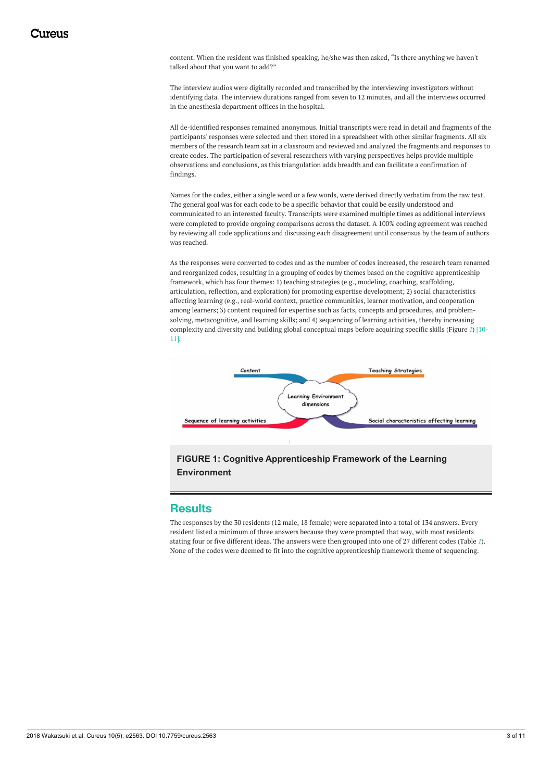content. When the resident was finished speaking, he/she was then asked, "Is there anything we haven't talked about that you want to add?"

The interview audios were digitally recorded and transcribed by the interviewing investigators without identifying data. The interview durations ranged from seven to 12 minutes, and all the interviews occurred in the anesthesia department offices in the hospital.

All de-identified responses remained anonymous. Initial transcripts were read in detail and fragments of the participants' responses were selected and then stored in a spreadsheet with other similar fragments. All six members of the research team sat in a classroom and reviewed and analyzed the fragments and responses to create codes. The participation of several researchers with varying perspectives helps provide multiple observations and conclusions, as this triangulation adds breadth and can facilitate a confirmation of findings.

Names for the codes, either a single word or a few words, were derived directly verbatim from the raw text. The general goal was for each code to be a specific behavior that could be easily understood and communicated to an interested faculty. Transcripts were examined multiple times as additional interviews were completed to provide ongoing comparisons across the dataset. A 100% coding agreement was reached by reviewing all code applications and discussing each disagreement until consensus by the team of authors was reached.

As the responses were converted to codes and as the number of codes increased, the research team renamed and reorganized codes, resulting in a grouping of codes by themes based on the cognitive apprenticeship framework, which has four themes: 1) teaching strategies (e.g., modeling, coaching, scaffolding, articulation, reflection, and exploration) for promoting expertise development; 2) social characteristics affecting learning (e.g., real-world context, practice communities, learner motivation, and cooperation among learners; 3) content required for expertise such as facts, concepts and procedures, and problemsolving, metacognitive, and learning skills; and 4) sequencing of learning activities, thereby increasing complexity and diversity and building global conceptual maps before acquiring specific skills (Figure *[1](#page-2-0)*) [10- 11].

<span id="page-2-0"></span>

## **FIGURE 1: Cognitive Apprenticeship Framework of the Learning Environment**

### **Results**

The responses by the 30 residents (12 male, 18 female) were separated into a total of 134 answers. Every resident listed a minimum of three answers because they were prompted that way, with most residents stating four or five different ideas. The answers were then grouped into one of 27 different codes (Table *[1](#page-3-0)*). None of the codes were deemed to fit into the cognitive apprenticeship framework theme of sequencing.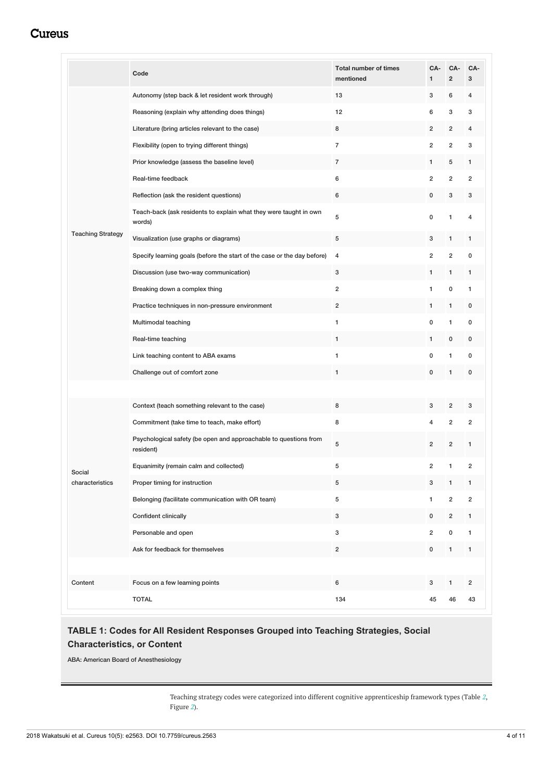<span id="page-3-0"></span>

|                          | Code                                                                          | <b>Total number of times</b><br>mentioned | CA-<br>1                | CA-<br>$\overline{\mathbf{c}}$ | CA-<br>3                |
|--------------------------|-------------------------------------------------------------------------------|-------------------------------------------|-------------------------|--------------------------------|-------------------------|
| <b>Teaching Strategy</b> | Autonomy (step back & let resident work through)                              | 13                                        | 3                       | 6                              | $\overline{4}$          |
|                          | Reasoning (explain why attending does things)                                 | 12                                        | 6                       | 3                              | 3                       |
|                          | Literature (bring articles relevant to the case)                              | 8                                         | $\overline{2}$          | 2                              | $\overline{4}$          |
|                          | Flexibility (open to trying different things)                                 | $\overline{7}$                            | $\overline{2}$          | $\overline{\mathbf{c}}$        | 3                       |
|                          | Prior knowledge (assess the baseline level)                                   | 7                                         | 1                       | 5                              | 1                       |
|                          | Real-time feedback                                                            | 6                                         | $\overline{2}$          | 2                              | $\overline{2}$          |
|                          | Reflection (ask the resident questions)                                       | 6                                         | 0                       | 3                              | 3                       |
|                          | Teach-back (ask residents to explain what they were taught in own<br>words)   | 5                                         | $\mathbf 0$             | 1                              | 4                       |
|                          | Visualization (use graphs or diagrams)                                        | 5                                         | 3                       | 1                              | 1                       |
|                          | Specify learning goals (before the start of the case or the day before)       | 4                                         | $\overline{2}$          | $\overline{\mathbf{c}}$        | 0                       |
|                          | Discussion (use two-way communication)                                        | 3                                         | 1                       | 1                              | 1                       |
|                          | Breaking down a complex thing                                                 | $\overline{\mathbf{c}}$                   | $\mathbf{1}$            | 0                              | $\mathbf{1}$            |
|                          | Practice techniques in non-pressure environment                               | $\overline{c}$                            | 1                       | 1                              | 0                       |
|                          | Multimodal teaching                                                           | 1                                         | $\pmb{0}$               | 1                              | $\mathbf 0$             |
|                          | Real-time teaching                                                            | 1                                         | 1                       | 0                              | 0                       |
|                          | Link teaching content to ABA exams                                            | 1                                         | $\pmb{0}$               | 1                              | 0                       |
|                          | Challenge out of comfort zone                                                 | 1                                         | 0                       | 1                              | 0                       |
|                          |                                                                               |                                           |                         |                                |                         |
|                          | Context (teach something relevant to the case)                                | 8                                         | 3                       | 2                              | 3                       |
|                          | Commitment (take time to teach, make effort)                                  | 8                                         | $\overline{4}$          | $\overline{\mathbf{c}}$        | $\overline{2}$          |
|                          | Psychological safety (be open and approachable to questions from<br>resident) | 5                                         | $\overline{2}$          | $\overline{2}$                 | $\mathbf{1}$            |
| Social                   | Equanimity (remain calm and collected)                                        | 5                                         | $\overline{\mathbf{c}}$ | 1                              | $\overline{c}$          |
| characteristics          | Proper timing for instruction                                                 | 5                                         | 3                       | 1                              | $\mathbf{1}$            |
|                          | Belonging (facilitate communication with OR team)                             | 5                                         | $\mathbf{1}$            | $\overline{\mathbf{c}}$        | $\overline{\mathbf{c}}$ |
|                          | Confident clinically                                                          | 3                                         | 0                       | $\overline{\mathbf{c}}$        | $\mathbf{1}$            |
|                          | Personable and open                                                           | 3                                         | $\boldsymbol{2}$        | 0                              | $\mathbf{1}$            |
|                          | Ask for feedback for themselves                                               | $\overline{2}$                            | 0                       | 1                              | 1                       |
|                          |                                                                               |                                           |                         |                                |                         |
| Content                  | Focus on a few learning points                                                | 6                                         | 3                       | 1                              | $\overline{2}$          |
|                          | <b>TOTAL</b>                                                                  | 134                                       | 45                      | 46                             | 43                      |

# **TABLE 1: Codes for All Resident Responses Grouped into Teaching Strategies, Social Characteristics, or Content**

ABA: American Board of Anesthesiology

Teaching strategy codes were categorized into different cognitive apprenticeship framework types (Table *[2](#page-4-0)*, Figure *[2](#page-5-0)*).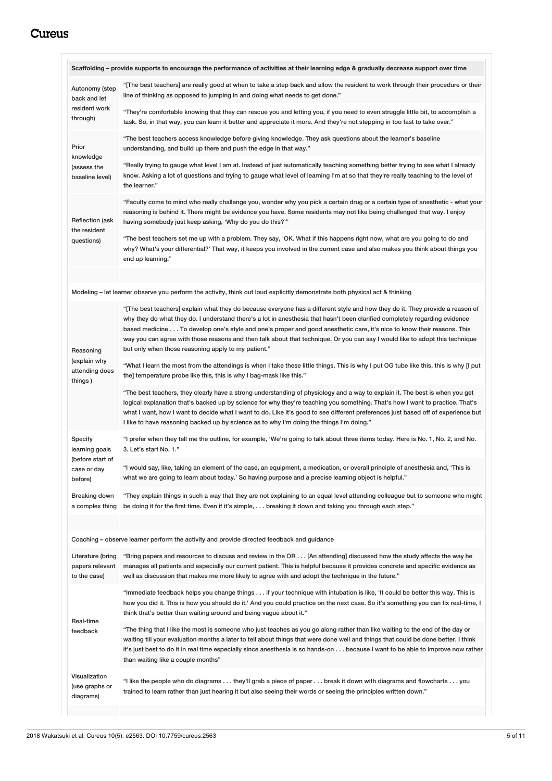<span id="page-4-0"></span>

|                                                        | Scaffolding – provide supports to encourage the performance of activities at their learning edge & gradually decrease support over time                                                                                                                                                                                                                                                                                                                                                                                                                                       |  |
|--------------------------------------------------------|-------------------------------------------------------------------------------------------------------------------------------------------------------------------------------------------------------------------------------------------------------------------------------------------------------------------------------------------------------------------------------------------------------------------------------------------------------------------------------------------------------------------------------------------------------------------------------|--|
| Autonomy (step<br>back and let                         | "[The best teachers] are really good at when to take a step back and allow the resident to work through their procedure or their<br>line of thinking as opposed to jumping in and doing what needs to get done."                                                                                                                                                                                                                                                                                                                                                              |  |
| resident work<br>through)                              | "They're comfortable knowing that they can rescue you and letting you, if you need to even struggle little bit, to accomplish a<br>task. So, in that way, you can learn it better and appreciate it more. And they're not stepping in too fast to take over."                                                                                                                                                                                                                                                                                                                 |  |
| Prior<br>knowledge<br>(assess the<br>baseline level)   | "The best teachers access knowledge before giving knowledge. They ask questions about the learner's baseline<br>understanding, and build up there and push the edge in that way."                                                                                                                                                                                                                                                                                                                                                                                             |  |
|                                                        | "Really trying to gauge what level I am at. Instead of just automatically teaching something better trying to see what I already<br>know. Asking a lot of questions and trying to gauge what level of learning I'm at so that they're really teaching to the level of<br>the learner."                                                                                                                                                                                                                                                                                        |  |
| <b>Reflection (ask</b><br>the resident<br>questions)   | "Faculty come to mind who really challenge you, wonder why you pick a certain drug or a certain type of anesthetic - what your<br>reasoning is behind it. There might be evidence you have. Some residents may not like being challenged that way. I enjoy<br>having somebody just keep asking, 'Why do you do this?'"                                                                                                                                                                                                                                                        |  |
|                                                        | "The best teachers set me up with a problem. They say, 'OK. What if this happens right now, what are you going to do and<br>why? What's your differential?' That way, it keeps you involved in the current case and also makes you think about things you<br>end up learning."                                                                                                                                                                                                                                                                                                |  |
|                                                        | Modeling – let learner observe you perform the activity, think out loud explicitly demonstrate both physical act & thinking                                                                                                                                                                                                                                                                                                                                                                                                                                                   |  |
| Reasoning<br>(explain why<br>attending does<br>things) | "[The best teachers] explain what they do because everyone has a different style and how they do it. They provide a reason of<br>why they do what they do. I understand there's a lot in anesthesia that hasn't been clarified completely regarding evidence<br>based medicine To develop one's style and one's proper and good anesthetic care, it's nice to know their reasons. This<br>way you can agree with those reasons and then talk about that technique. Or you can say I would like to adopt this technique<br>but only when those reasoning apply to my patient." |  |
|                                                        | "What I learn the most from the attendings is when I take these little things. This is why I put OG tube like this, this is why [I put<br>the] temperature probe like this, this is why I bag-mask like this."                                                                                                                                                                                                                                                                                                                                                                |  |
|                                                        | "The best teachers, they clearly have a strong understanding of physiology and a way to explain it. The best is when you get<br>logical explanation that's backed up by science for why they're teaching you something. That's how I want to practice. That's<br>what I want, how I want to decide what I want to do. Like it's good to see different preferences just based off of experience but<br>I like to have reasoning backed up by science as to why I'm doing the things I'm doing."                                                                                |  |
| Specify<br>learning goals                              | "I prefer when they tell me the outline, for example, 'We're going to talk about three items today. Here is No. 1, No. 2, and No.<br>3. Let's start No. 1."                                                                                                                                                                                                                                                                                                                                                                                                                   |  |
| (before start of<br>case or day<br>before)             | "I would say, like, taking an element of the case, an equipment, a medication, or overall principle of anesthesia and, 'This is<br>".what we are going to learn about today.' So having purpose and a precise learning object is helpful.                                                                                                                                                                                                                                                                                                                                     |  |
| Breaking down<br>a complex thing                       | "They explain things in such a way that they are not explaining to an equal level attending colleague but to someone who might<br>be doing it for the first time. Even if it's simple,  breaking it down and taking you through each step."                                                                                                                                                                                                                                                                                                                                   |  |
|                                                        |                                                                                                                                                                                                                                                                                                                                                                                                                                                                                                                                                                               |  |
| Literature (bring<br>papers relevant<br>to the case)   | Coaching – observe learner perform the activity and provide directed feedback and guidance<br>"Bring papers and resources to discuss and review in the OR [An attending] discussed how the study affects the way he<br>manages all patients and especially our current patient. This is helpful because it provides concrete and specific evidence as<br>well as discussion that makes me more likely to agree with and adopt the technique in the future."                                                                                                                   |  |
| Real-time<br>feedback                                  | "Immediate feedback helps you change things if your technique with intubation is like, 'It could be better this way. This is<br>how you did it. This is how you should do it.' And you could practice on the next case. So it's something you can fix real-time, I<br>think that's better than waiting around and being vague about it."                                                                                                                                                                                                                                      |  |
|                                                        | "The thing that I like the most is someone who just teaches as you go along rather than like waiting to the end of the day or<br>waiting till your evaluation months a later to tell about things that were done well and things that could be done better. I think<br>it's just best to do it in real time especially since anesthesia is so hands-on because I want to be able to improve now rather<br>than waiting like a couple months"                                                                                                                                  |  |
| Visualization<br>(use graphs or<br>diagrams)           | "I like the people who do diagrams they'll grab a piece of paper break it down with diagrams and flowcharts you<br>trained to learn rather than just hearing it but also seeing their words or seeing the principles written down."                                                                                                                                                                                                                                                                                                                                           |  |
|                                                        |                                                                                                                                                                                                                                                                                                                                                                                                                                                                                                                                                                               |  |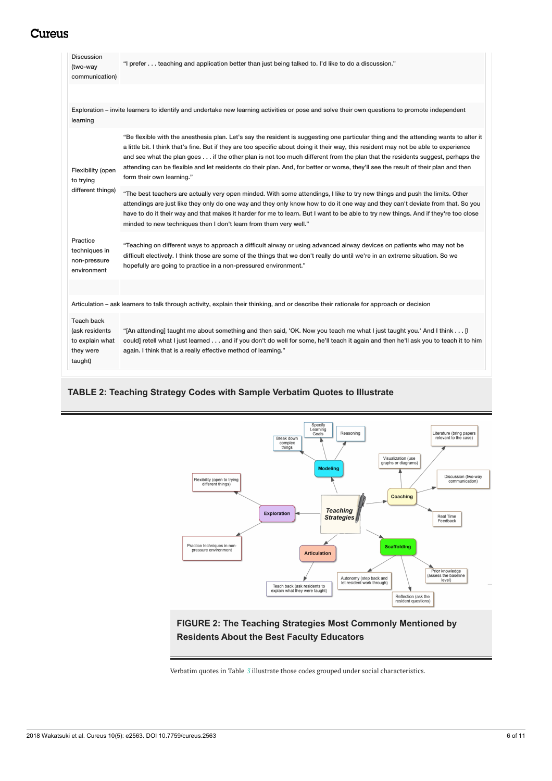| <b>Discussion</b><br>(two-way<br>communication)                         | "I prefer teaching and application better than just being talked to. I'd like to do a discussion."                                                                                                                                                                                                                                                                                                                                                                                                                                                                               |  |
|-------------------------------------------------------------------------|----------------------------------------------------------------------------------------------------------------------------------------------------------------------------------------------------------------------------------------------------------------------------------------------------------------------------------------------------------------------------------------------------------------------------------------------------------------------------------------------------------------------------------------------------------------------------------|--|
| learning                                                                | Exploration – invite learners to identify and undertake new learning activities or pose and solve their own questions to promote independent                                                                                                                                                                                                                                                                                                                                                                                                                                     |  |
| Flexibility (open<br>to trying<br>different things)                     | "Be flexible with the anesthesia plan. Let's say the resident is suggesting one particular thing and the attending wants to alter it<br>a little bit. I think that's fine. But if they are too specific about doing it their way, this resident may not be able to experience<br>and see what the plan goes if the other plan is not too much different from the plan that the residents suggest, perhaps the<br>attending can be flexible and let residents do their plan. And, for better or worse, they'll see the result of their plan and then<br>form their own learning." |  |
|                                                                         | "The best teachers are actually very open minded. With some attendings, I like to try new things and push the limits. Other<br>attendings are just like they only do one way and they only know how to do it one way and they can't deviate from that. So you<br>have to do it their way and that makes it harder for me to learn. But I want to be able to try new things. And if they're too close<br>minded to new techniques then I don't learn from them very well."                                                                                                        |  |
| Practice<br>techniques in<br>non-pressure<br>environment                | "Teaching on different ways to approach a difficult airway or using advanced airway devices on patients who may not be<br>difficult electively. I think those are some of the things that we don't really do until we're in an extreme situation. So we<br>hopefully are going to practice in a non-pressured environment."                                                                                                                                                                                                                                                      |  |
|                                                                         | Articulation - ask learners to talk through activity, explain their thinking, and or describe their rationale for approach or decision                                                                                                                                                                                                                                                                                                                                                                                                                                           |  |
| Teach back<br>(ask residents<br>to explain what<br>they were<br>taught) | "[An attending] taught me about something and then said, 'OK. Now you teach me what I just taught you.' And I think [I<br>could] retell what I just learned and if you don't do well for some, he'll teach it again and then he'll ask you to teach it to him<br>again. I think that is a really effective method of learning."                                                                                                                                                                                                                                                  |  |

## **TABLE 2: Teaching Strategy Codes with Sample Verbatim Quotes to Illustrate**

<span id="page-5-0"></span>

## **FIGURE 2: The Teaching Strategies Most Commonly Mentioned by Residents About the Best Faculty Educators**

Verbatim quotes in Table *[3](#page-6-0)* illustrate those codes grouped under social characteristics.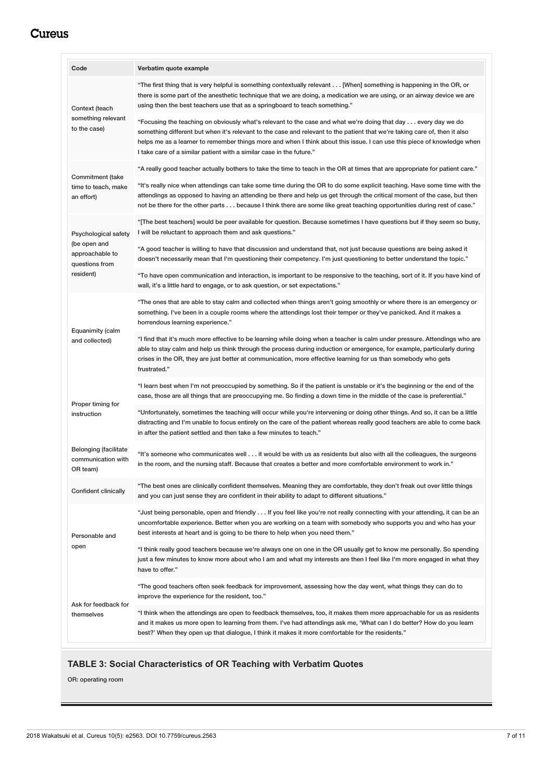<span id="page-6-0"></span>

| Code                                                                                   | Verbatim quote example                                                                                                                                                                                                                                                                                                                                                                                                                         |  |
|----------------------------------------------------------------------------------------|------------------------------------------------------------------------------------------------------------------------------------------------------------------------------------------------------------------------------------------------------------------------------------------------------------------------------------------------------------------------------------------------------------------------------------------------|--|
| Context (teach<br>something relevant<br>to the case)                                   | "The first thing that is very helpful is something contextually relevant [When] something is happening in the OR, or<br>there is some part of the anesthetic technique that we are doing, a medication we are using, or an airway device we are<br>using then the best teachers use that as a springboard to teach something."                                                                                                                 |  |
|                                                                                        | "Focusing the teaching on obviously what's relevant to the case and what we're doing that day every day we do<br>something different but when it's relevant to the case and relevant to the patient that we're taking care of, then it also<br>helps me as a learner to remember things more and when I think about this issue. I can use this piece of knowledge when<br>I take care of a similar patient with a similar case in the future." |  |
| Commitment (take<br>time to teach, make<br>an effort)                                  | "A really good teacher actually bothers to take the time to teach in the OR at times that are appropriate for patient care."                                                                                                                                                                                                                                                                                                                   |  |
|                                                                                        | "It's really nice when attendings can take some time during the OR to do some explicit teaching. Have some time with the<br>attendings as opposed to having an attending be there and help us get through the critical moment of the case, but then<br>not be there for the other parts because I think there are some like great teaching opportunities during rest of case."                                                                 |  |
| Psychological safety<br>(be open and<br>approachable to<br>questions from<br>resident) | "[The best teachers] would be peer available for question. Because sometimes I have questions but if they seem so busy,<br>I will be reluctant to approach them and ask questions."                                                                                                                                                                                                                                                            |  |
|                                                                                        | "A good teacher is willing to have that discussion and understand that, not just because questions are being asked it<br>doesn't necessarily mean that I'm questioning their competency. I'm just questioning to better understand the topic."                                                                                                                                                                                                 |  |
|                                                                                        | "To have open communication and interaction, is important to be responsive to the teaching, sort of it. If you have kind of<br>wall, it's a little hard to engage, or to ask question, or set expectations."                                                                                                                                                                                                                                   |  |
| Equanimity (calm<br>and collected)                                                     | "The ones that are able to stay calm and collected when things aren't going smoothly or where there is an emergency or<br>something. I've been in a couple rooms where the attendings lost their temper or they've panicked. And it makes a<br>horrendous learning experience."                                                                                                                                                                |  |
|                                                                                        | "I find that it's much more effective to be learning while doing when a teacher is calm under pressure. Attendings who are<br>able to stay calm and help us think through the process during induction or emergence, for example, particularly during<br>crises in the OR, they are just better at communication, more effective learning for us than somebody who gets<br>frustrated."                                                        |  |
|                                                                                        | "I learn best when I'm not preoccupied by something. So if the patient is unstable or it's the beginning or the end of the<br>case, those are all things that are preoccupying me. So finding a down time in the middle of the case is preferential."                                                                                                                                                                                          |  |
| Proper timing for<br>instruction                                                       | "Unfortunately, sometimes the teaching will occur while you're intervening or doing other things. And so, it can be a little<br>distracting and I'm unable to focus entirely on the care of the patient whereas really good teachers are able to come back<br>in after the patient settled and then take a few minutes to teach."                                                                                                              |  |
| Belonging (facilitate<br>communication with<br>OR team)                                | "It's someone who communicates well it would be with us as residents but also with all the colleagues, the surgeons<br>in the room, and the nursing staff. Because that creates a better and more comfortable environment to work in."                                                                                                                                                                                                         |  |
| <b>Confident clinically</b>                                                            | "The best ones are clinically confident themselves. Meaning they are comfortable, they don't freak out over little things<br>".and you can just sense they are confident in their ability to adapt to different situations.                                                                                                                                                                                                                    |  |
| Personable and                                                                         | "Just being personable, open and friendly If you feel like you're not really connecting with your attending, it can be an<br>uncomfortable experience. Better when you are working on a team with somebody who supports you and who has your<br>best interests at heart and is going to be there to help when you need them."                                                                                                                  |  |
| open                                                                                   | "I think really good teachers because we're always one on one in the OR usually get to know me personally. So spending<br>just a few minutes to know more about who I am and what my interests are then I feel like I'm more engaged in what they<br>have to offer."                                                                                                                                                                           |  |
|                                                                                        | "The good teachers often seek feedback for improvement, assessing how the day went, what things they can do to<br>improve the experience for the resident, too."                                                                                                                                                                                                                                                                               |  |
| Ask for feedback for<br>themselves                                                     | "I think when the attendings are open to feedback themselves, too, it makes them more approachable for us as residents<br>and it makes us more open to learning from them. I've had attendings ask me, 'What can I do better? How do you learn<br>best?' When they open up that dialogue, I think it makes it more comfortable for the residents."                                                                                             |  |

## **TABLE 3: Social Characteristics of OR Teaching with Verbatim Quotes**

OR: operating room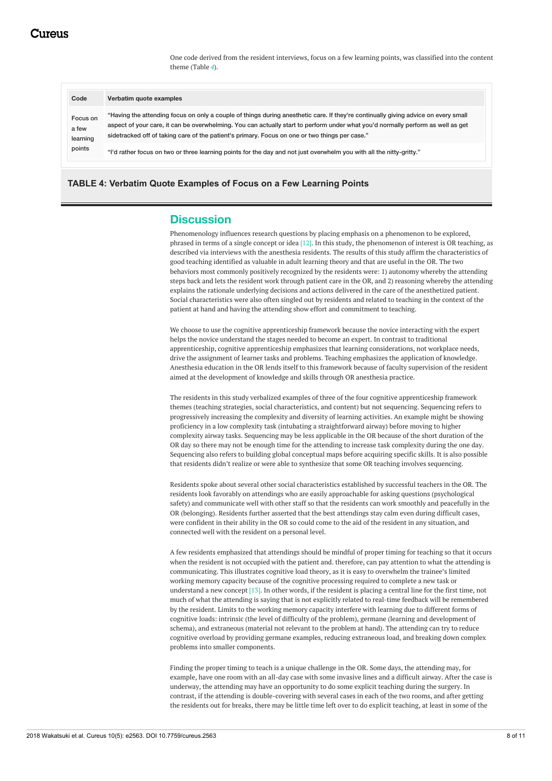One code derived from the resident interviews, focus on a few learning points, was classified into the content theme (Table *[4](#page-7-0)*).

<span id="page-7-0"></span>

| Code                                    | Verbatim quote examples                                                                                                                                                                                                                                                                                                                                                 |
|-----------------------------------------|-------------------------------------------------------------------------------------------------------------------------------------------------------------------------------------------------------------------------------------------------------------------------------------------------------------------------------------------------------------------------|
| Focus on<br>a few<br>learning<br>points | "Having the attending focus on only a couple of things during anesthetic care. If they're continually giving advice on every small<br>aspect of your care, it can be overwhelming. You can actually start to perform under what you'd normally perform as well as get<br>sidetracked off of taking care of the patient's primary. Focus on one or two things per case." |
|                                         | "I'd rather focus on two or three learning points for the day and not just overwhelm you with all the nitty-gritty."                                                                                                                                                                                                                                                    |

### **TABLE 4: Verbatim Quote Examples of Focus on a Few Learning Points**

# **Discussion**

Phenomenology influences research questions by placing emphasis on a phenomenon to be explored, phrased in terms of a single concept or idea [12]. In this study, the phenomenon of interest is OR teaching, as described via interviews with the anesthesia residents. The results of this study affirm the characteristics of good teaching identified as valuable in adult learning theory and that are useful in the OR. The two behaviors most commonly positively recognized by the residents were: 1) autonomy whereby the attending steps back and lets the resident work through patient care in the OR, and 2) reasoning whereby the attending explains the rationale underlying decisions and actions delivered in the care of the anesthetized patient. Social characteristics were also often singled out by residents and related to teaching in the context of the patient at hand and having the attending show effort and commitment to teaching.

We choose to use the cognitive apprenticeship framework because the novice interacting with the expert helps the novice understand the stages needed to become an expert. In contrast to traditional apprenticeship, cognitive apprenticeship emphasizes that learning considerations, not workplace needs, drive the assignment of learner tasks and problems. Teaching emphasizes the application of knowledge. Anesthesia education in the OR lends itself to this framework because of faculty supervision of the resident aimed at the development of knowledge and skills through OR anesthesia practice.

The residents in this study verbalized examples of three of the four cognitive apprenticeship framework themes (teaching strategies, social characteristics, and content) but not sequencing. Sequencing refers to progressively increasing the complexity and diversity of learning activities. An example might be showing proficiency in a low complexity task (intubating a straightforward airway) before moving to higher complexity airway tasks. Sequencing may be less applicable in the OR because of the short duration of the OR day so there may not be enough time for the attending to increase task complexity during the one day. Sequencing also refers to building global conceptual maps before acquiring specific skills. It is also possible that residents didn't realize or were able to synthesize that some OR teaching involves sequencing.

Residents spoke about several other social characteristics established by successful teachers in the OR. The residents look favorably on attendings who are easily approachable for asking questions (psychological safety) and communicate well with other staff so that the residents can work smoothly and peacefully in the OR (belonging). Residents further asserted that the best attendings stay calm even during difficult cases, were confident in their ability in the OR so could come to the aid of the resident in any situation, and connected well with the resident on a personal level.

A few residents emphasized that attendings should be mindful of proper timing for teaching so that it occurs when the resident is not occupied with the patient and. therefore, can pay attention to what the attending is communicating. This illustrates cognitive load theory, as it is easy to overwhelm the trainee's limited working memory capacity because of the cognitive processing required to complete a new task or understand a new concept [13]. In other words, if the resident is placing a central line for the first time, not much of what the attending is saying that is not explicitly related to real-time feedback will be remembered by the resident. Limits to the working memory capacity interfere with learning due to different forms of cognitive loads: intrinsic (the level of difficulty of the problem), germane (learning and development of schema), and extraneous (material not relevant to the problem at hand). The attending can try to reduce cognitive overload by providing germane examples, reducing extraneous load, and breaking down complex problems into smaller components.

Finding the proper timing to teach is a unique challenge in the OR. Some days, the attending may, for example, have one room with an all-day case with some invasive lines and a difficult airway. After the case is underway, the attending may have an opportunity to do some explicit teaching during the surgery. In contrast, if the attending is double-covering with several cases in each of the two rooms, and after getting the residents out for breaks, there may be little time left over to do explicit teaching, at least in some of the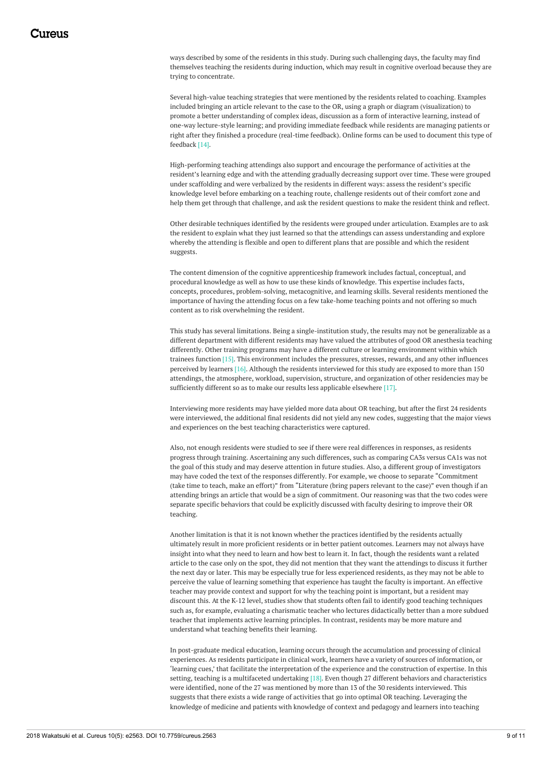ways described by some of the residents in this study. During such challenging days, the faculty may find themselves teaching the residents during induction, which may result in cognitive overload because they are trying to concentrate.

Several high-value teaching strategies that were mentioned by the residents related to coaching. Examples included bringing an article relevant to the case to the OR, using a graph or diagram (visualization) to promote a better understanding of complex ideas, discussion as a form of interactive learning, instead of one-way lecture-style learning; and providing immediate feedback while residents are managing patients or right after they finished a procedure (real-time feedback). Online forms can be used to document this type of feedback [14].

High-performing teaching attendings also support and encourage the performance of activities at the resident's learning edge and with the attending gradually decreasing support over time. These were grouped under scaffolding and were verbalized by the residents in different ways: assess the resident's specific knowledge level before embarking on a teaching route, challenge residents out of their comfort zone and help them get through that challenge, and ask the resident questions to make the resident think and reflect.

Other desirable techniques identified by the residents were grouped under articulation. Examples are to ask the resident to explain what they just learned so that the attendings can assess understanding and explore whereby the attending is flexible and open to different plans that are possible and which the resident suggests.

The content dimension of the cognitive apprenticeship framework includes factual, conceptual, and procedural knowledge as well as how to use these kinds of knowledge. This expertise includes facts, concepts, procedures, problem-solving, metacognitive, and learning skills. Several residents mentioned the importance of having the attending focus on a few take-home teaching points and not offering so much content as to risk overwhelming the resident.

This study has several limitations. Being a single-institution study, the results may not be generalizable as a different department with different residents may have valued the attributes of good OR anesthesia teaching differently. Other training programs may have a different culture or learning environment within which trainees function [15]. This environment includes the pressures, stresses, rewards, and any other influences perceived by learners [16]. Although the residents interviewed for this study are exposed to more than 150 attendings, the atmosphere, workload, supervision, structure, and organization of other residencies may be sufficiently different so as to make our results less applicable elsewhere [17].

Interviewing more residents may have yielded more data about OR teaching, but after the first 24 residents were interviewed, the additional final residents did not yield any new codes, suggesting that the major views and experiences on the best teaching characteristics were captured.

Also, not enough residents were studied to see if there were real differences in responses, as residents progress through training. Ascertaining any such differences, such as comparing CA3s versus CA1s was not the goal of this study and may deserve attention in future studies. Also, a different group of investigators may have coded the text of the responses differently. For example, we choose to separate "Commitment (take time to teach, make an effort)" from "Literature (bring papers relevant to the case)" even though if an attending brings an article that would be a sign of commitment. Our reasoning was that the two codes were separate specific behaviors that could be explicitly discussed with faculty desiring to improve their OR teaching.

Another limitation is that it is not known whether the practices identified by the residents actually ultimately result in more proficient residents or in better patient outcomes. Learners may not always have insight into what they need to learn and how best to learn it. In fact, though the residents want a related article to the case only on the spot, they did not mention that they want the attendings to discuss it further the next day or later. This may be especially true for less experienced residents, as they may not be able to perceive the value of learning something that experience has taught the faculty is important. An effective teacher may provide context and support for why the teaching point is important, but a resident may discount this. At the K-12 level, studies show that students often fail to identify good teaching techniques such as, for example, evaluating a charismatic teacher who lectures didactically better than a more subdued teacher that implements active learning principles. In contrast, residents may be more mature and understand what teaching benefits their learning.

In post-graduate medical education, learning occurs through the accumulation and processing of clinical experiences. As residents participate in clinical work, learners have a variety of sources of information, or 'learning cues,' that facilitate the interpretation of the experience and the construction of expertise. In this setting, teaching is a multifaceted undertaking [18]. Even though 27 different behaviors and characteristics were identified, none of the 27 was mentioned by more than 13 of the 30 residents interviewed. This suggests that there exists a wide range of activities that go into optimal OR teaching. Leveraging the knowledge of medicine and patients with knowledge of context and pedagogy and learners into teaching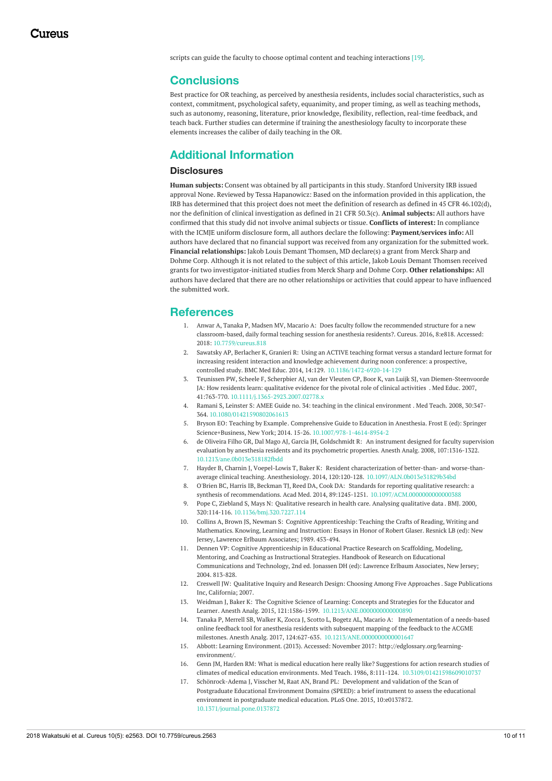scripts can guide the faculty to choose optimal content and teaching interactions [19].

## **Conclusions**

Best practice for OR teaching, as perceived by anesthesia residents, includes social characteristics, such as context, commitment, psychological safety, equanimity, and proper timing, as well as teaching methods, such as autonomy, reasoning, literature, prior knowledge, flexibility, reflection, real-time feedback, and teach back. Further studies can determine if training the anesthesiology faculty to incorporate these elements increases the caliber of daily teaching in the OR.

# **Additional Information**

### **Disclosures**

**Human subjects:** Consent was obtained by all participants in this study. Stanford University IRB issued approval None. Reviewed by Tessa Hapanowicz: Based on the information provided in this application, the IRB has determined that this project does not meet the definition of research as defined in 45 CFR 46.102(d), nor the definition of clinical investigation as defined in 21 CFR 50.3(c). **Animal subjects:** All authors have confirmed that this study did not involve animal subjects or tissue. **Conflicts of interest:** In compliance with the ICMJE uniform disclosure form, all authors declare the following: **Payment/services info:** All authors have declared that no financial support was received from any organization for the submitted work. **Financial relationships:** Jakob Louis Demant Thomsen, MD declare(s) a grant from Merck Sharp and Dohme Corp. Although it is not related to the subject of this article, Jakob Louis Demant Thomsen received grants for two investigator-initiated studies from Merck Sharp and Dohme Corp. **Other relationships:** All authors have declared that there are no other relationships or activities that could appear to have influenced the submitted work.

## **References**

- 1. Anwar A, Tanaka P, Madsen MV, Macario A: Does faculty follow the recommended structure for a new [classroom-based,](https://dx.doi.org/10.7759/cureus.818) daily formal teaching session for anesthesia residents?. Cureus. 2016, 8:e818. Accessed: 2018: [10.7759/cureus.818](https://dx.doi.org/10.7759/cureus.818)
- 2. Sawatsky AP, Berlacher K, Granieri R: Using an ACTIVE teaching format versus a standard lecture format for increasing resident interaction and knowledge achievement during noon conference: a prospective, controlled study. BMC Med Educ. 2014, 14:129. [10.1186/1472-6920-14-129](https://dx.doi.org/10.1186/1472-6920-14-129)
- 3. Teunissen PW, Scheele F, Scherpbier AJ, van der Vleuten CP, Boor K, van Luijk SJ, van Diemen-Steenvoorde JA: How residents learn: [qualitative](https://dx.doi.org/10.1111/j.1365-2923.2007.02778.x) evidence for the pivotal role of clinical activities . Med Educ. 2007, 41:763-770. [10.1111/j.1365-2923.2007.02778.x](https://dx.doi.org/10.1111/j.1365-2923.2007.02778.x)
- 4. Ramani S, Leinster S: AMEE Guide no. 34: teaching in the clinical [environment](https://dx.doi.org/10.1080/01421590802061613) . Med Teach. 2008, 30:347- 364. [10.1080/01421590802061613](https://dx.doi.org/10.1080/01421590802061613)
- 5. Bryson EO: [Teaching](https://dx.doi.org/10.1007/978-1-4614-8954-2) by Example. Comprehensive Guide to Education in Anesthesia. Frost E (ed): Springer Science+Business, New York; 2014. 15-26. [10.1007/978-1-4614-8954-2](https://dx.doi.org/10.1007/978-1-4614-8954-2)
- 6. de Oliveira Filho GR, Dal Mago AJ, Garcia JH, Goldschmidt R: An instrument designed for faculty supervision evaluation by anesthesia residents and its psychometric properties. Anesth Analg. 2008, [107:1316-1322.](https://dx.doi.org/10.1213/ane.0b013e318182fbdd) [10.1213/ane.0b013e318182fbdd](https://dx.doi.org/10.1213/ane.0b013e318182fbdd)
- 7. Hayder B, Charnin J, Voepel-Lowis T, Baker K: Resident characterization of better-than- and worse-thanaverage clinical teaching. Anesthesiology. 2014, 120:120-128. [10.1097/ALN.0b013e31829b34bd](https://dx.doi.org/10.1097/ALN.0b013e31829b34bd)
- 8. O'Brien BC, Harris IB, Beckman TJ, Reed DA, Cook DA: Standards for reporting qualitative research: a synthesis of recommendations. Acad Med. 2014, 89:1245-1251. [10.1097/ACM.0000000000000388](https://dx.doi.org/10.1097/ACM.0000000000000388)
- 9. Pope C, Ziebland S, Mays N: [Qualitative](https://dx.doi.org/10.1136/bmj.320.7227.114) research in health care. Analysing qualitative data . BMJ. 2000, 320:114-116. [10.1136/bmj.320.7227.114](https://dx.doi.org/10.1136/bmj.320.7227.114)
- 10. Collins A, Brown JS, Newman S: Cognitive [Apprenticeship:](https://scholar.google.com/scholar?q=intitle:Cognitive Apprenticeship%3A Teaching the Crafts of Reading%2C Writing and Mathematics) Teaching the Crafts of Reading, Writing and Mathematics. Knowing, Learning and Instruction: Essays in Honor of Robert Glaser. Resnick LB (ed): New Jersey, Lawrence Erlbaum Associates; 1989. 453-494.
- 11. Dennen VP: Cognitive [Apprenticeship](https://www.routledgehandbooks.com/doi/10.4324/9780203880869.ch34) in Educational Practice Research on Scaffolding, Modeling, Mentoring, and Coaching as Instructional Strategies. Handbook of Research on Educational Communications and Technology, 2nd ed. Jonassen DH (ed): Lawrence Erlbaum Associates, New Jersey; 2004. 813-828.
- 12. Creswell JW: Qualitative Inquiry and Research Design: Choosing Among Five [Approaches](https://scholar.google.com/scholar?q=intitle:Qualitative Inquiry and Research Design%3A Choosing Among Five Approaches) . Sage Publications Inc, California; 2007.
- 13. Weidman J, Baker K: The Cognitive Science of Learning: Concepts and Strategies for the Educator and Learner. Anesth Analg. 2015, 121:1586-1599. [10.1213/ANE.0000000000000890](https://dx.doi.org/10.1213/ANE.0000000000000890)
- 14. Tanaka P, Merrell SB, Walker K, Zocca J, Scotto L, Bogetz AL, Macario A: Implementation of a needs-based online feedback tool for anesthesia residents with subsequent mapping of the feedback to the ACGME milestones. Anesth Analg. 2017, 124:627-635. [10.1213/ANE.0000000000001647](https://dx.doi.org/10.1213/ANE.0000000000001647)
- 15. Abbott: Learning [Environment](http://edglossary.org/learning-environment/). (2013). Accessed: November 2017: [http://edglossary.org/learning](http://edglossary.org/learning-environment/)environment/.
- 16. Genn JM, Harden RM: What is medical education here really like? Suggestions for action research studies of climates of medical education environments. Med Teach. 1986, 8:111-124. [10.3109/01421598609010737](https://dx.doi.org/10.3109/01421598609010737)
- 17. [Schönrock-Adema](https://dx.doi.org/10.1371/journal.pone.0137872) J, Visscher M, Raat AN, Brand PL: Development and validation of the Scan of Postgraduate Educational Environment Domains (SPEED): a brief instrument to assess the educational environment in postgraduate medical education. PLoS One. 2015, 10:e0137872. [10.1371/journal.pone.0137872](https://dx.doi.org/10.1371/journal.pone.0137872)